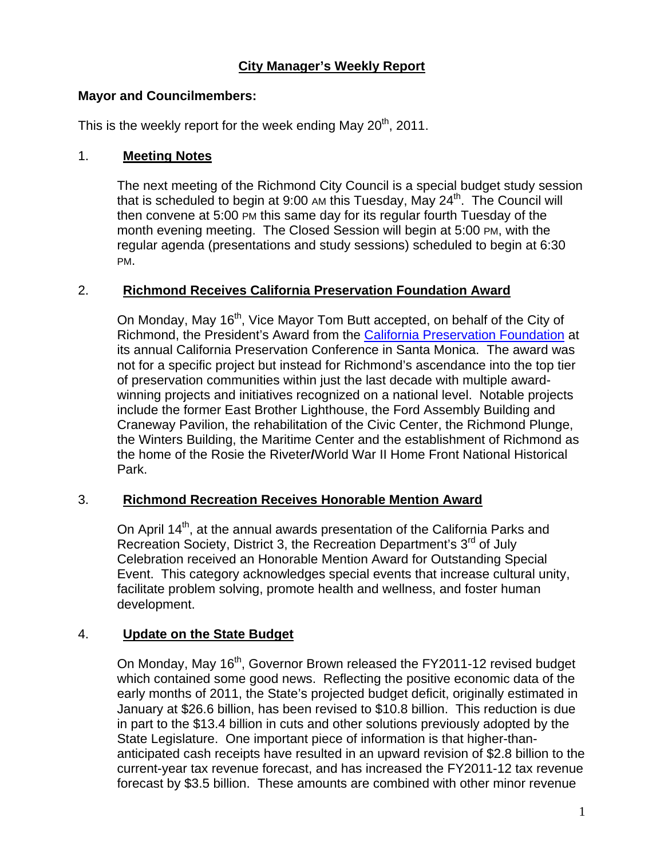# **City Manager's Weekly Report**

## **Mayor and Councilmembers:**

This is the weekly report for the week ending May  $20<sup>th</sup>$ , 2011.

## 1. **Meeting Notes**

The next meeting of the Richmond City Council is a special budget study session that is scheduled to begin at 9:00 AM this Tuesday, May 24<sup>th</sup>. The Council will then convene at 5:00 PM this same day for its regular fourth Tuesday of the month evening meeting. The Closed Session will begin at 5:00 PM, with the regular agenda (presentations and study sessions) scheduled to begin at 6:30 PM.

# 2. **Richmond Receives California Preservation Foundation Award**

On Monday, May 16<sup>th</sup>, Vice Mayor Tom Butt accepted, on behalf of the City of Richmond, the President's Award from the [California Preservation Foundation](http://www.californiapreservation.org/about_2011.shtml) at its annual California Preservation Conference in Santa Monica. The award was not for a specific project but instead for Richmond's ascendance into the top tier of preservation communities within just the last decade with multiple awardwinning projects and initiatives recognized on a national level. Notable projects include the former East Brother Lighthouse, the Ford Assembly Building and Craneway Pavilion, the rehabilitation of the Civic Center, the Richmond Plunge, the Winters Building, the Maritime Center and the establishment of Richmond as the home of the Rosie the Riveter**/**World War II Home Front National Historical Park.

#### 3. **Richmond Recreation Receives Honorable Mention Award**

On April 14<sup>th</sup>, at the annual awards presentation of the California Parks and Recreation Society, District 3, the Recreation Department's 3<sup>rd</sup> of July Celebration received an Honorable Mention Award for Outstanding Special Event. This category acknowledges special events that increase cultural unity, facilitate problem solving, promote health and wellness, and foster human development.

# 4. **Update on the State Budget**

On Monday, May 16<sup>th</sup>, Governor Brown released the FY2011-12 revised budget which contained some good news. Reflecting the positive economic data of the early months of 2011, the State's projected budget deficit, originally estimated in January at \$26.6 billion, has been revised to \$10.8 billion. This reduction is due in part to the \$13.4 billion in cuts and other solutions previously adopted by the State Legislature. One important piece of information is that higher-thananticipated cash receipts have resulted in an upward revision of \$2.8 billion to the current-year tax revenue forecast, and has increased the FY2011-12 tax revenue forecast by \$3.5 billion. These amounts are combined with other minor revenue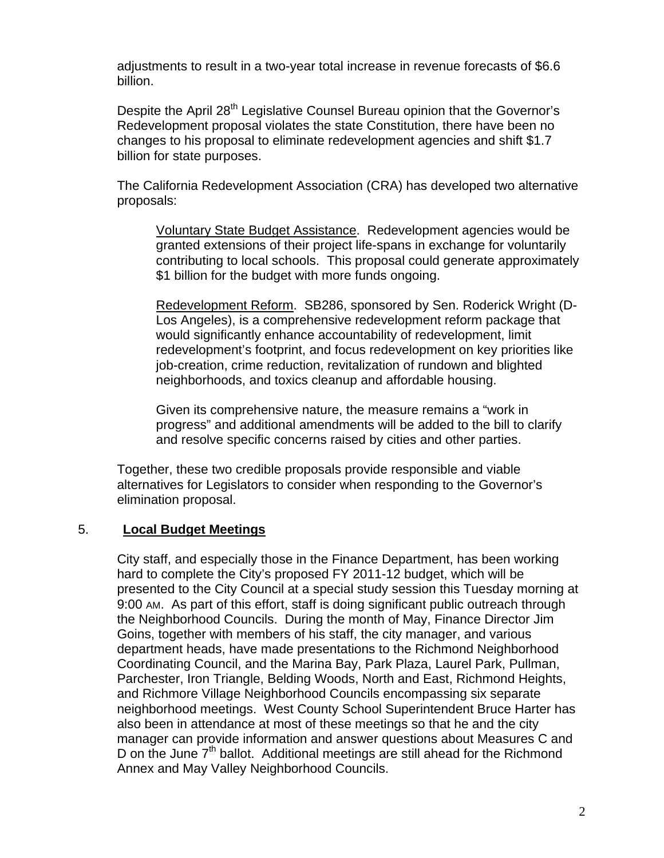adjustments to result in a two-year total increase in revenue forecasts of \$6.6 billion.

Despite the April 28<sup>th</sup> Legislative Counsel Bureau opinion that the Governor's Redevelopment proposal violates the state Constitution, there have been no changes to his proposal to eliminate redevelopment agencies and shift \$1.7 billion for state purposes.

The California Redevelopment Association (CRA) has developed two alternative proposals:

Voluntary State Budget Assistance. Redevelopment agencies would be granted extensions of their project life-spans in exchange for voluntarily contributing to local schools. This proposal could generate approximately \$1 billion for the budget with more funds ongoing.

Redevelopment Reform. SB286, sponsored by Sen. Roderick Wright (D-Los Angeles), is a comprehensive redevelopment reform package that would significantly enhance accountability of redevelopment, limit redevelopment's footprint, and focus redevelopment on key priorities like job-creation, crime reduction, revitalization of rundown and blighted neighborhoods, and toxics cleanup and affordable housing.

Given its comprehensive nature, the measure remains a "work in progress" and additional amendments will be added to the bill to clarify and resolve specific concerns raised by cities and other parties.

Together, these two credible proposals provide responsible and viable alternatives for Legislators to consider when responding to the Governor's elimination proposal.

# 5. **Local Budget Meetings**

City staff, and especially those in the Finance Department, has been working hard to complete the City's proposed FY 2011-12 budget, which will be presented to the City Council at a special study session this Tuesday morning at 9:00 AM. As part of this effort, staff is doing significant public outreach through the Neighborhood Councils. During the month of May, Finance Director Jim Goins, together with members of his staff, the city manager, and various department heads, have made presentations to the Richmond Neighborhood Coordinating Council, and the Marina Bay, Park Plaza, Laurel Park, Pullman, Parchester, Iron Triangle, Belding Woods, North and East, Richmond Heights, and Richmore Village Neighborhood Councils encompassing six separate neighborhood meetings. West County School Superintendent Bruce Harter has also been in attendance at most of these meetings so that he and the city manager can provide information and answer questions about Measures C and D on the June  $7<sup>th</sup>$  ballot. Additional meetings are still ahead for the Richmond Annex and May Valley Neighborhood Councils.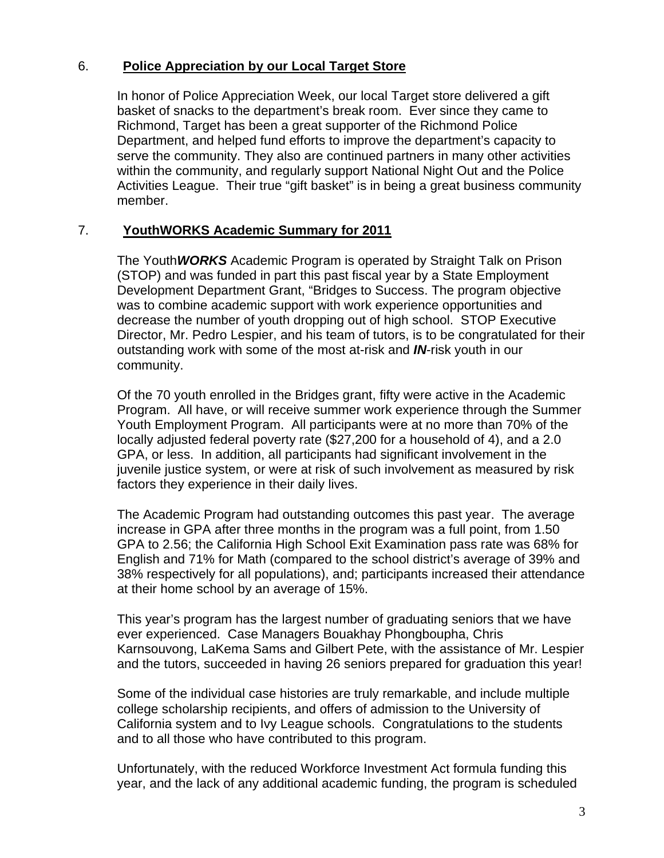### 6. **Police Appreciation by our Local Target Store**

In honor of Police Appreciation Week, our local Target store delivered a gift basket of snacks to the department's break room. Ever since they came to Richmond, Target has been a great supporter of the Richmond Police Department, and helped fund efforts to improve the department's capacity to serve the community. They also are continued partners in many other activities within the community, and regularly support National Night Out and the Police Activities League. Their true "gift basket" is in being a great business community member.

### 7. **YouthWORKS Academic Summary for 2011**

The Youth*WORKS* Academic Program is operated by Straight Talk on Prison (STOP) and was funded in part this past fiscal year by a State Employment Development Department Grant, "Bridges to Success. The program objective was to combine academic support with work experience opportunities and decrease the number of youth dropping out of high school. STOP Executive Director, Mr. Pedro Lespier, and his team of tutors, is to be congratulated for their outstanding work with some of the most at-risk and *IN*-risk youth in our community.

Of the 70 youth enrolled in the Bridges grant, fifty were active in the Academic Program. All have, or will receive summer work experience through the Summer Youth Employment Program. All participants were at no more than 70% of the locally adjusted federal poverty rate (\$27,200 for a household of 4), and a 2.0 GPA, or less. In addition, all participants had significant involvement in the juvenile justice system, or were at risk of such involvement as measured by risk factors they experience in their daily lives.

The Academic Program had outstanding outcomes this past year. The average increase in GPA after three months in the program was a full point, from 1.50 GPA to 2.56; the California High School Exit Examination pass rate was 68% for English and 71% for Math (compared to the school district's average of 39% and 38% respectively for all populations), and; participants increased their attendance at their home school by an average of 15%.

This year's program has the largest number of graduating seniors that we have ever experienced. Case Managers Bouakhay Phongboupha, Chris Karnsouvong, LaKema Sams and Gilbert Pete, with the assistance of Mr. Lespier and the tutors, succeeded in having 26 seniors prepared for graduation this year!

Some of the individual case histories are truly remarkable, and include multiple college scholarship recipients, and offers of admission to the University of California system and to Ivy League schools. Congratulations to the students and to all those who have contributed to this program.

Unfortunately, with the reduced Workforce Investment Act formula funding this year, and the lack of any additional academic funding, the program is scheduled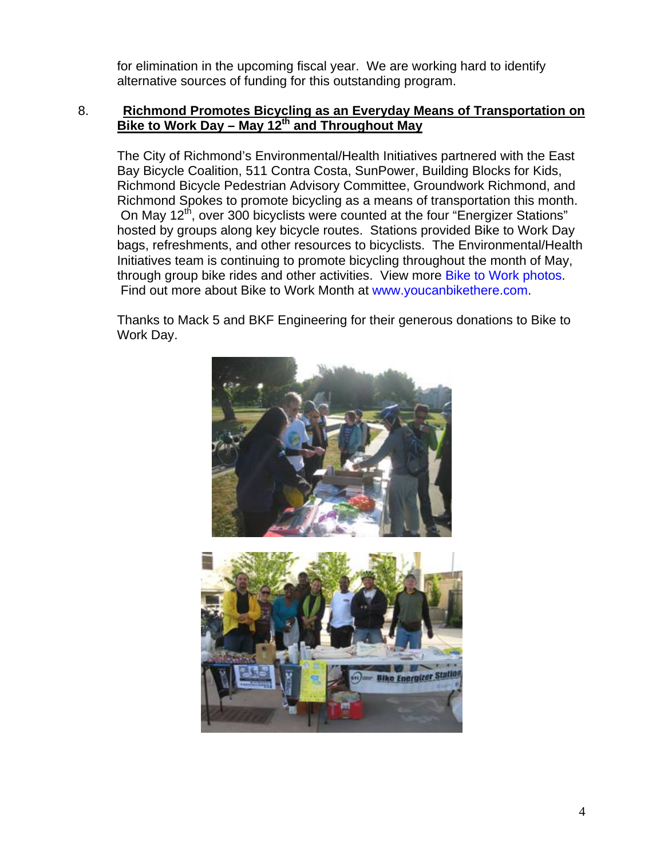for elimination in the upcoming fiscal year. We are working hard to identify alternative sources of funding for this outstanding program.

#### 8. **Richmond Promotes Bicycling as an Everyday Means of Transportation on Bike to Work Day – May 12th and Throughout May**

The City of Richmond's Environmental/Health Initiatives partnered with the East Bay Bicycle Coalition, 511 Contra Costa, SunPower, Building Blocks for Kids, Richmond Bicycle Pedestrian Advisory Committee, Groundwork Richmond, and Richmond Spokes to promote bicycling as a means of transportation this month. On May 12<sup>th</sup>, over 300 bicyclists were counted at the four "Energizer Stations" hosted by groups along key bicycle routes. Stations provided Bike to Work Day bags, refreshments, and other resources to bicyclists. The Environmental/Health Initiatives team is continuing to promote bicycling throughout the month of May, through group bike rides and other activities. View more [Bike to Work photos](http://www.flickr.com/photos/richmondenvironment/sets/72157626618569479/). Find out more about Bike to Work Month at [www.youcanbikethere.com.](http://www.youcanbikethere.com/)

Thanks to Mack 5 and BKF Engineering for their generous donations to Bike to Work Day.

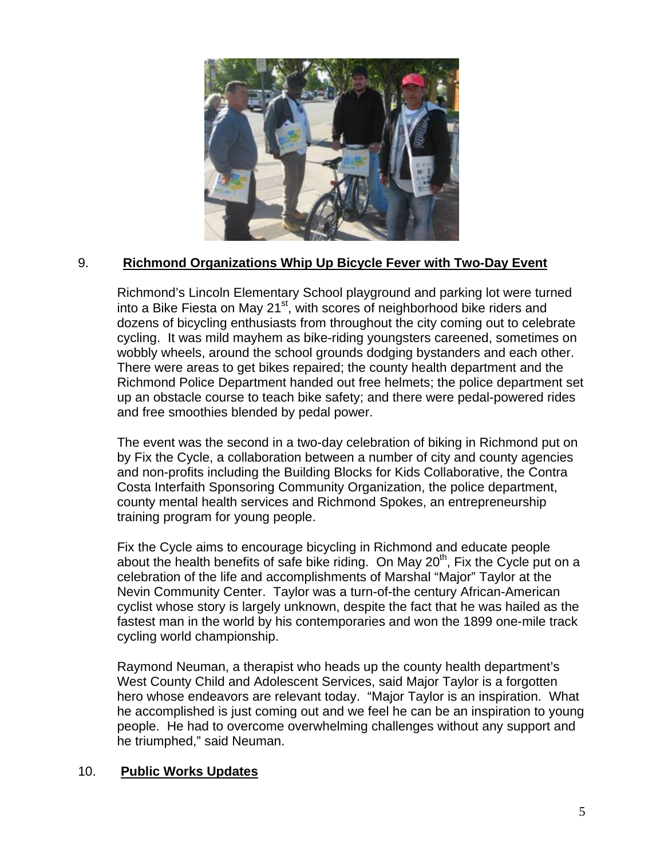

# 9. **Richmond Organizations Whip Up Bicycle Fever with Two-Day Event**

Richmond's Lincoln Elementary School playground and parking lot were turned into a Bike Fiesta on May 21 $st$ , with scores of neighborhood bike riders and dozens of bicycling enthusiasts from throughout the city coming out to celebrate cycling. It was mild mayhem as bike-riding youngsters careened, sometimes on wobbly wheels, around the school grounds dodging bystanders and each other. There were areas to get bikes repaired; the county health department and the Richmond Police Department handed out free helmets; the police department set up an obstacle course to teach bike safety; and there were pedal-powered rides and free smoothies blended by pedal power.

The event was the second in a two-day celebration of biking in Richmond put on by Fix the Cycle, a collaboration between a number of city and county agencies and non-profits including the Building Blocks for Kids Collaborative, the Contra Costa Interfaith Sponsoring Community Organization, the police department, county mental health services and Richmond Spokes, an entrepreneurship training program for young people.

Fix the Cycle aims to encourage bicycling in Richmond and educate people about the health benefits of safe bike riding. On May  $20<sup>th</sup>$ , Fix the Cycle put on a celebration of the life and accomplishments of Marshal "Major" Taylor at the Nevin Community Center. Taylor was a turn-of-the century African-American cyclist whose story is largely unknown, despite the fact that he was hailed as the fastest man in the world by his contemporaries and won the 1899 one-mile track cycling world championship.

Raymond Neuman, a therapist who heads up the county health department's West County Child and Adolescent Services, said Major Taylor is a forgotten hero whose endeavors are relevant today. "Major Taylor is an inspiration. What he accomplished is just coming out and we feel he can be an inspiration to young people. He had to overcome overwhelming challenges without any support and he triumphed," said Neuman.

#### 10. **Public Works Updates**